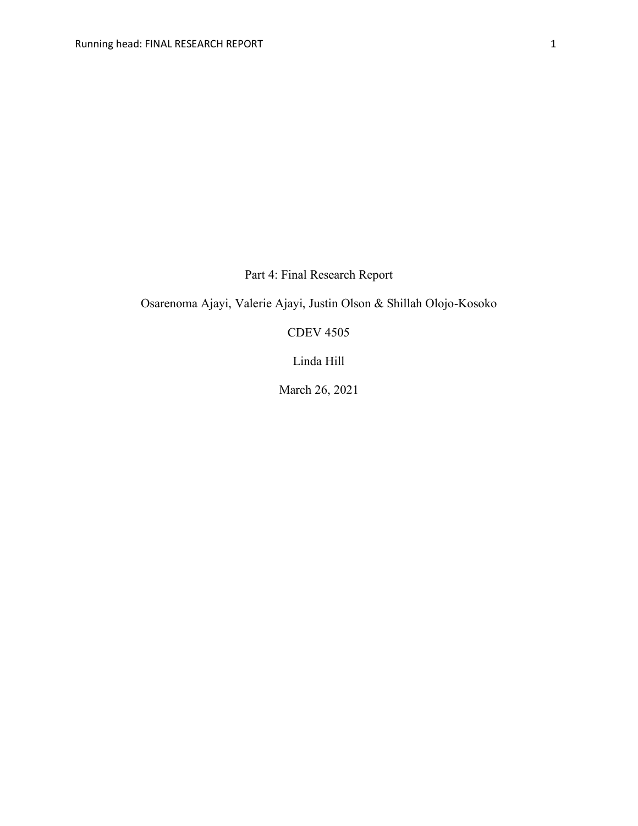Part 4: Final Research Report

Osarenoma Ajayi, Valerie Ajayi, Justin Olson & Shillah Olojo-Kosoko

CDEV 4505

Linda Hill

March 26, 2021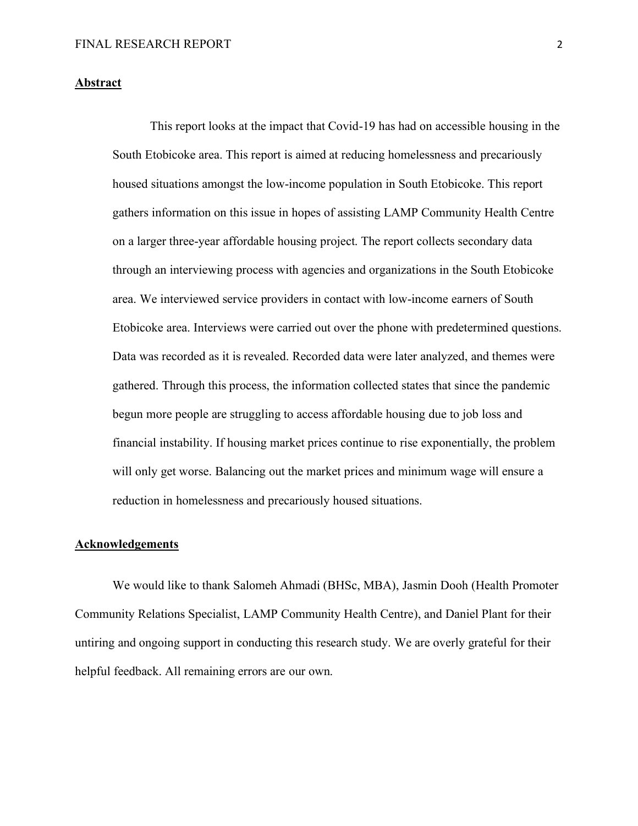## **Abstract**

This report looks at the impact that Covid-19 has had on accessible housing in the South Etobicoke area. This report is aimed at reducing homelessness and precariously housed situations amongst the low-income population in South Etobicoke. This report gathers information on this issue in hopes of assisting LAMP Community Health Centre on a larger three-year affordable housing project. The report collects secondary data through an interviewing process with agencies and organizations in the South Etobicoke area. We interviewed service providers in contact with low-income earners of South Etobicoke area. Interviews were carried out over the phone with predetermined questions. Data was recorded as it is revealed. Recorded data were later analyzed, and themes were gathered. Through this process, the information collected states that since the pandemic begun more people are struggling to access affordable housing due to job loss and financial instability. If housing market prices continue to rise exponentially, the problem will only get worse. Balancing out the market prices and minimum wage will ensure a reduction in homelessness and precariously housed situations.

## **Acknowledgements**

We would like to thank Salomeh Ahmadi (BHSc, MBA), Jasmin Dooh (Health Promoter Community Relations Specialist, LAMP Community Health Centre), and Daniel Plant for their untiring and ongoing support in conducting this research study. We are overly grateful for their helpful feedback. All remaining errors are our own.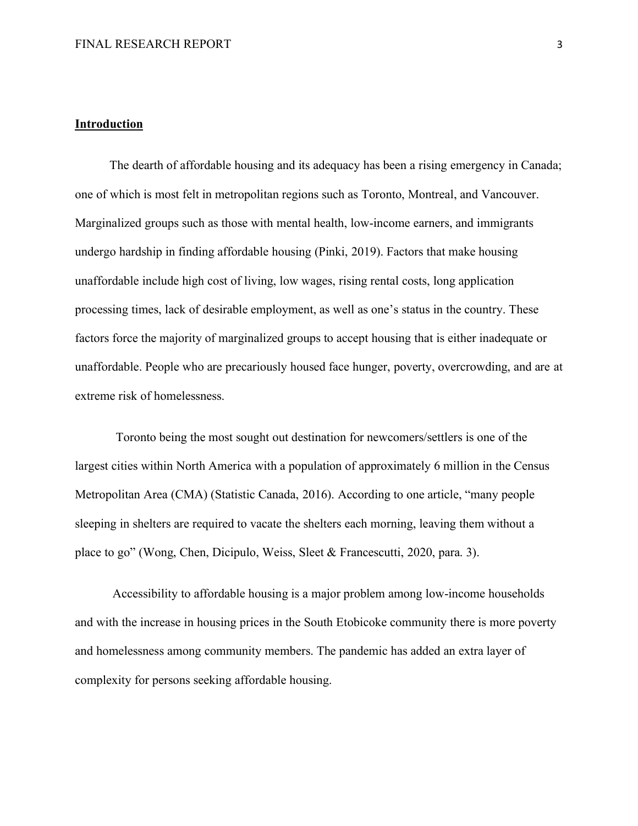## **Introduction**

 The dearth of affordable housing and its adequacy has been a rising emergency in Canada; one of which is most felt in metropolitan regions such as Toronto, Montreal, and Vancouver. Marginalized groups such as those with mental health, low-income earners, and immigrants undergo hardship in finding affordable housing (Pinki, 2019). Factors that make housing unaffordable include high cost of living, low wages, rising rental costs, long application processing times, lack of desirable employment, as well as one's status in the country. These factors force the majority of marginalized groups to accept housing that is either inadequate or unaffordable. People who are precariously housed face hunger, poverty, overcrowding, and are at extreme risk of homelessness.

Toronto being the most sought out destination for newcomers/settlers is one of the largest cities within North America with a population of approximately 6 million in the Census Metropolitan Area (CMA) (Statistic Canada, 2016). According to one article, "many people sleeping in shelters are required to vacate the shelters each morning, leaving them without a place to go" (Wong, Chen, Dicipulo, Weiss, Sleet & Francescutti, 2020, para. 3).

Accessibility to affordable housing is a major problem among low-income households and with the increase in housing prices in the South Etobicoke community there is more poverty and homelessness among community members. The pandemic has added an extra layer of complexity for persons seeking affordable housing.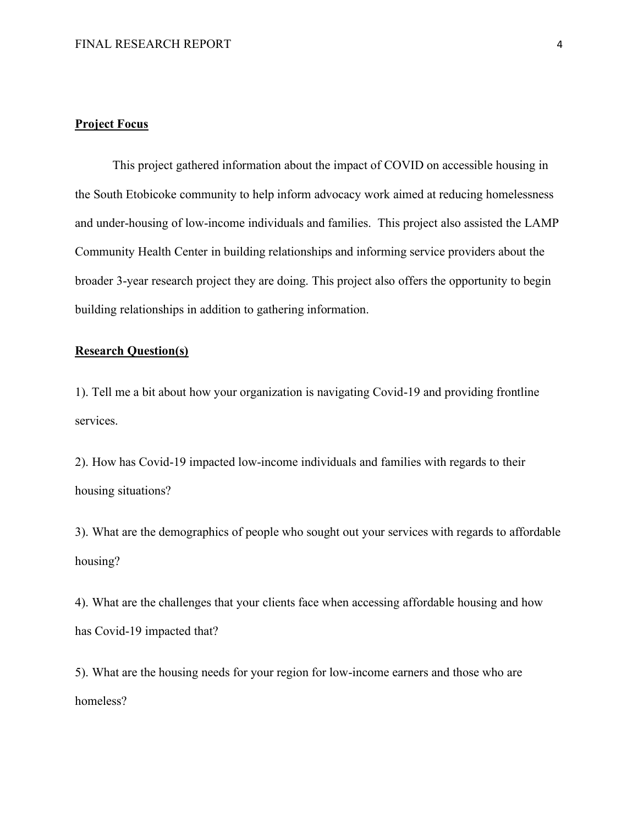## **Project Focus**

This project gathered information about the impact of COVID on accessible housing in the South Etobicoke community to help inform advocacy work aimed at reducing homelessness and under-housing of low-income individuals and families. This project also assisted the LAMP Community Health Center in building relationships and informing service providers about the broader 3-year research project they are doing. This project also offers the opportunity to begin building relationships in addition to gathering information.

# **Research Question(s)**

1). Tell me a bit about how your organization is navigating Covid-19 and providing frontline services.

2). How has Covid-19 impacted low-income individuals and families with regards to their housing situations?

3). What are the demographics of people who sought out your services with regards to affordable housing?

4). What are the challenges that your clients face when accessing affordable housing and how has Covid-19 impacted that?

5). What are the housing needs for your region for low-income earners and those who are homeless?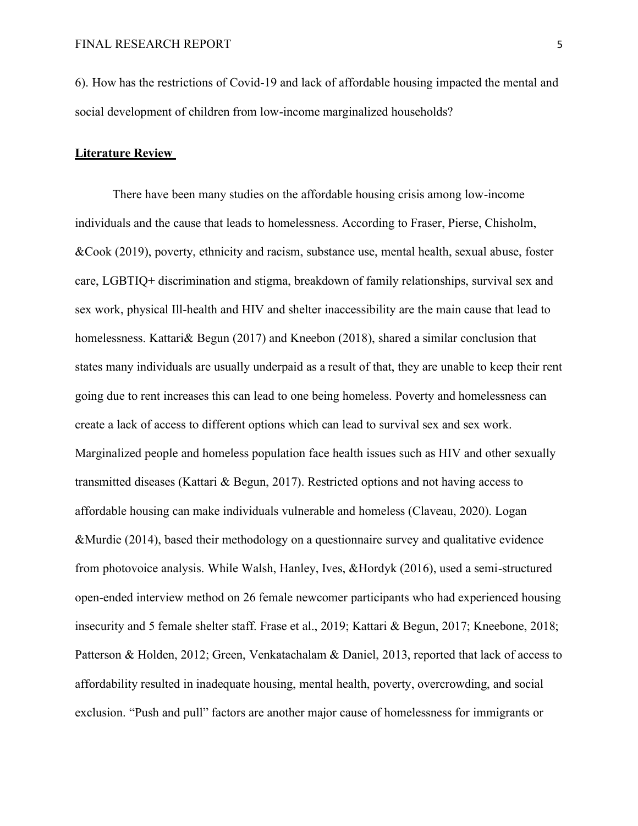6). How has the restrictions of Covid-19 and lack of affordable housing impacted the mental and social development of children from low-income marginalized households?

## **Literature Review**

There have been many studies on the affordable housing crisis among low-income individuals and the cause that leads to homelessness. According to Fraser, Pierse, Chisholm, &Cook (2019), poverty, ethnicity and racism, substance use, mental health, sexual abuse, foster care, LGBTIQ+ discrimination and stigma, breakdown of family relationships, survival sex and sex work, physical Ill-health and HIV and shelter inaccessibility are the main cause that lead to homelessness. Kattari $\&$  Begun (2017) and Kneebon (2018), shared a similar conclusion that states many individuals are usually underpaid as a result of that, they are unable to keep their rent going due to rent increases this can lead to one being homeless. Poverty and homelessness can create a lack of access to different options which can lead to survival sex and sex work. Marginalized people and homeless population face health issues such as HIV and other sexually transmitted diseases (Kattari & Begun, 2017). Restricted options and not having access to affordable housing can make individuals vulnerable and homeless (Claveau, 2020). Logan &Murdie (2014), based their methodology on a questionnaire survey and qualitative evidence from photovoice analysis. While Walsh, Hanley, Ives, &Hordyk (2016), used a semi-structured open-ended interview method on 26 female newcomer participants who had experienced housing insecurity and 5 female shelter staff. Frase et al., 2019; Kattari & Begun, 2017; Kneebone, 2018; Patterson & Holden, 2012; Green, Venkatachalam & Daniel, 2013, reported that lack of access to affordability resulted in inadequate housing, mental health, poverty, overcrowding, and social exclusion. "Push and pull" factors are another major cause of homelessness for immigrants or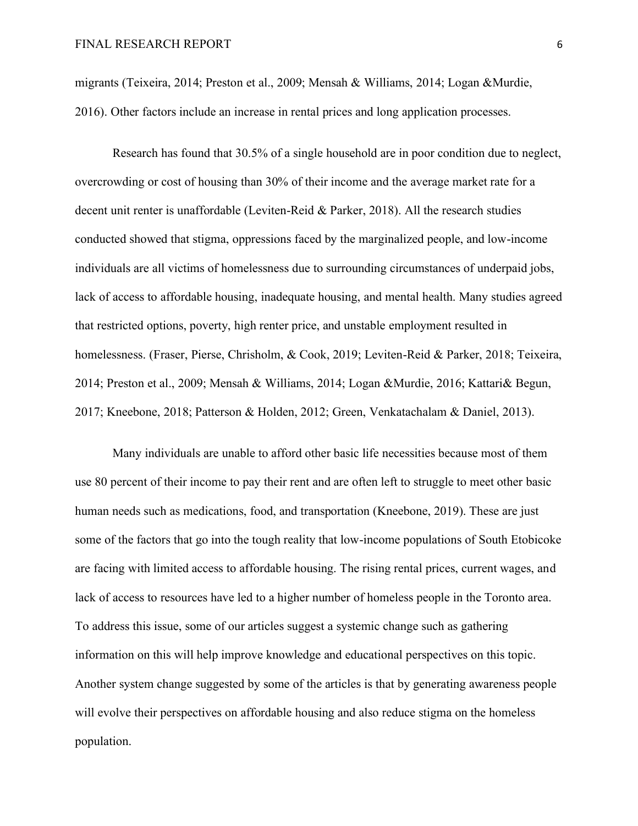migrants (Teixeira, 2014; Preston et al., 2009; Mensah & Williams, 2014; Logan &Murdie, 2016). Other factors include an increase in rental prices and long application processes.

Research has found that 30.5% of a single household are in poor condition due to neglect, overcrowding or cost of housing than 30% of their income and the average market rate for a decent unit renter is unaffordable (Leviten-Reid & Parker, 2018). All the research studies conducted showed that stigma, oppressions faced by the marginalized people, and low-income individuals are all victims of homelessness due to surrounding circumstances of underpaid jobs, lack of access to affordable housing, inadequate housing, and mental health. Many studies agreed that restricted options, poverty, high renter price, and unstable employment resulted in homelessness. (Fraser, Pierse, Chrisholm, & Cook, 2019; Leviten-Reid & Parker, 2018; Teixeira, 2014; Preston et al., 2009; Mensah & Williams, 2014; Logan &Murdie, 2016; Kattari& Begun, 2017; Kneebone, 2018; Patterson & Holden, 2012; Green, Venkatachalam & Daniel, 2013).

Many individuals are unable to afford other basic life necessities because most of them use 80 percent of their income to pay their rent and are often left to struggle to meet other basic human needs such as medications, food, and transportation (Kneebone, 2019). These are just some of the factors that go into the tough reality that low-income populations of South Etobicoke are facing with limited access to affordable housing. The rising rental prices, current wages, and lack of access to resources have led to a higher number of homeless people in the Toronto area. To address this issue, some of our articles suggest a systemic change such as gathering information on this will help improve knowledge and educational perspectives on this topic. Another system change suggested by some of the articles is that by generating awareness people will evolve their perspectives on affordable housing and also reduce stigma on the homeless population.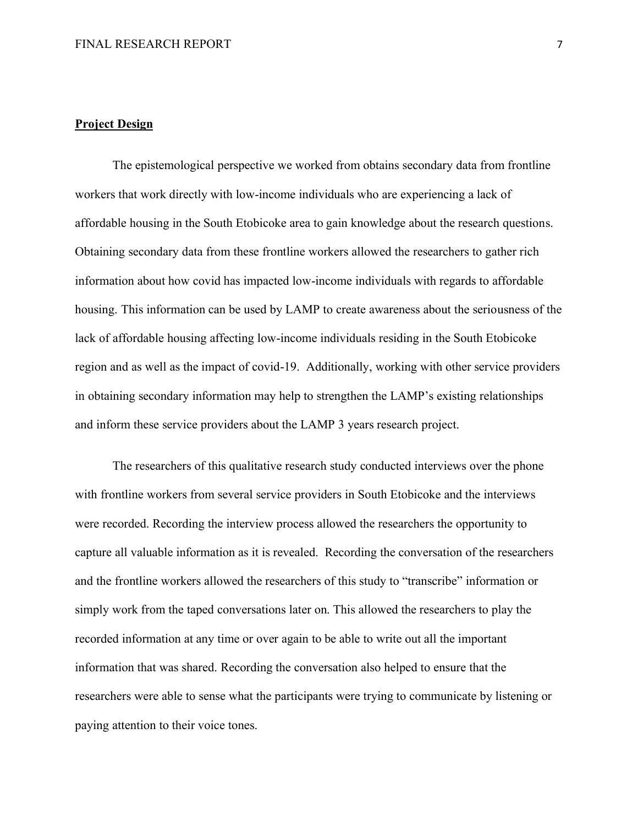## **Project Design**

The epistemological perspective we worked from obtains secondary data from frontline workers that work directly with low-income individuals who are experiencing a lack of affordable housing in the South Etobicoke area to gain knowledge about the research questions. Obtaining secondary data from these frontline workers allowed the researchers to gather rich information about how covid has impacted low-income individuals with regards to affordable housing. This information can be used by LAMP to create awareness about the seriousness of the lack of affordable housing affecting low-income individuals residing in the South Etobicoke region and as well as the impact of covid-19. Additionally, working with other service providers in obtaining secondary information may help to strengthen the LAMP's existing relationships and inform these service providers about the LAMP 3 years research project.

The researchers of this qualitative research study conducted interviews over the phone with frontline workers from several service providers in South Etobicoke and the interviews were recorded. Recording the interview process allowed the researchers the opportunity to capture all valuable information as it is revealed. Recording the conversation of the researchers and the frontline workers allowed the researchers of this study to "transcribe" information or simply work from the taped conversations later on. This allowed the researchers to play the recorded information at any time or over again to be able to write out all the important information that was shared. Recording the conversation also helped to ensure that the researchers were able to sense what the participants were trying to communicate by listening or paying attention to their voice tones.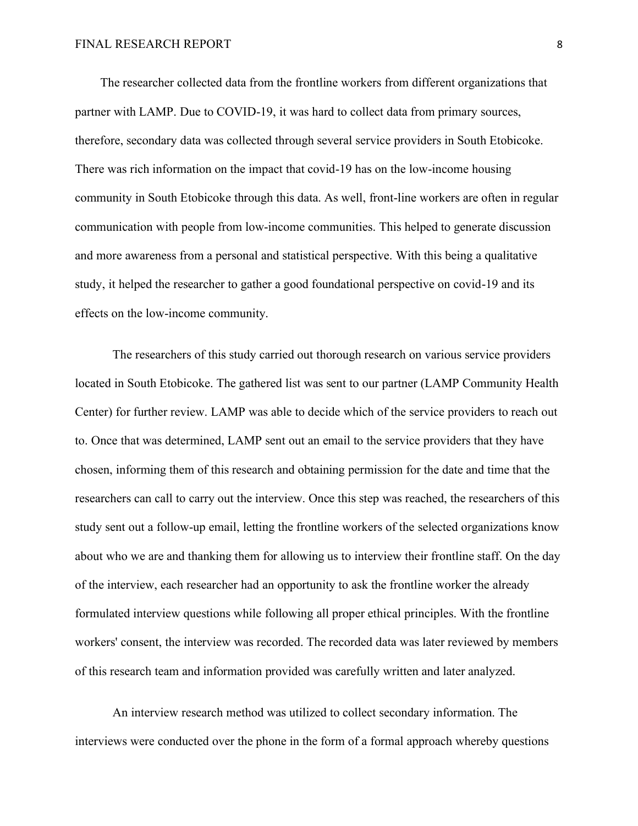The researcher collected data from the frontline workers from different organizations that partner with LAMP. Due to COVID-19, it was hard to collect data from primary sources, therefore, secondary data was collected through several service providers in South Etobicoke. There was rich information on the impact that covid-19 has on the low-income housing community in South Etobicoke through this data. As well, front-line workers are often in regular communication with people from low-income communities. This helped to generate discussion and more awareness from a personal and statistical perspective. With this being a qualitative study, it helped the researcher to gather a good foundational perspective on covid-19 and its effects on the low-income community.

The researchers of this study carried out thorough research on various service providers located in South Etobicoke. The gathered list was sent to our partner (LAMP Community Health Center) for further review. LAMP was able to decide which of the service providers to reach out to. Once that was determined, LAMP sent out an email to the service providers that they have chosen, informing them of this research and obtaining permission for the date and time that the researchers can call to carry out the interview. Once this step was reached, the researchers of this study sent out a follow-up email, letting the frontline workers of the selected organizations know about who we are and thanking them for allowing us to interview their frontline staff. On the day of the interview, each researcher had an opportunity to ask the frontline worker the already formulated interview questions while following all proper ethical principles. With the frontline workers' consent, the interview was recorded. The recorded data was later reviewed by members of this research team and information provided was carefully written and later analyzed.

An interview research method was utilized to collect secondary information. The interviews were conducted over the phone in the form of a formal approach whereby questions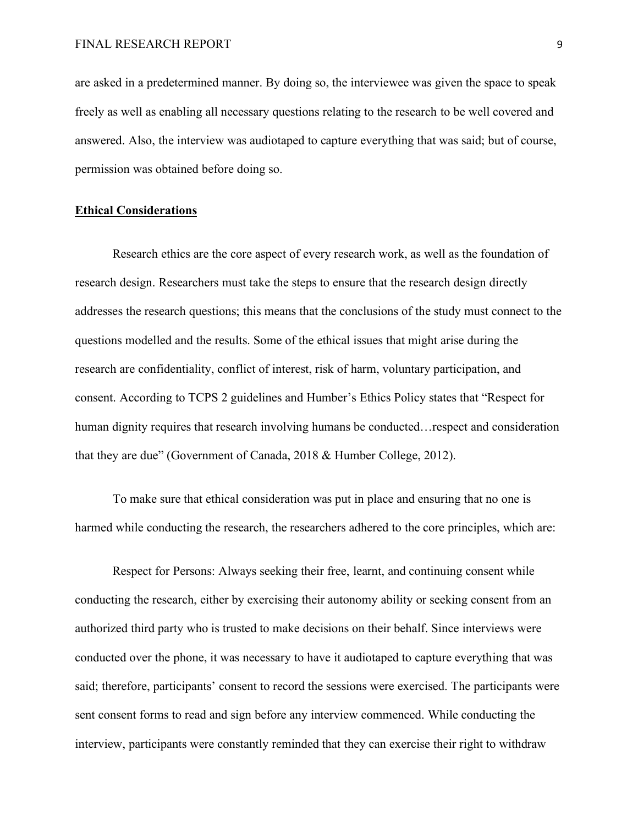are asked in a predetermined manner. By doing so, the interviewee was given the space to speak freely as well as enabling all necessary questions relating to the research to be well covered and answered. Also, the interview was audiotaped to capture everything that was said; but of course, permission was obtained before doing so.

#### **Ethical Considerations**

Research ethics are the core aspect of every research work, as well as the foundation of research design. Researchers must take the steps to ensure that the research design directly addresses the research questions; this means that the conclusions of the study must connect to the questions modelled and the results. Some of the ethical issues that might arise during the research are confidentiality, conflict of interest, risk of harm, voluntary participation, and consent. According to TCPS 2 guidelines and Humber's Ethics Policy states that "Respect for human dignity requires that research involving humans be conducted…respect and consideration that they are due" (Government of Canada, 2018 & Humber College, 2012).

 To make sure that ethical consideration was put in place and ensuring that no one is harmed while conducting the research, the researchers adhered to the core principles, which are:

Respect for Persons: Always seeking their free, learnt, and continuing consent while conducting the research, either by exercising their autonomy ability or seeking consent from an authorized third party who is trusted to make decisions on their behalf. Since interviews were conducted over the phone, it was necessary to have it audiotaped to capture everything that was said; therefore, participants' consent to record the sessions were exercised. The participants were sent consent forms to read and sign before any interview commenced. While conducting the interview, participants were constantly reminded that they can exercise their right to withdraw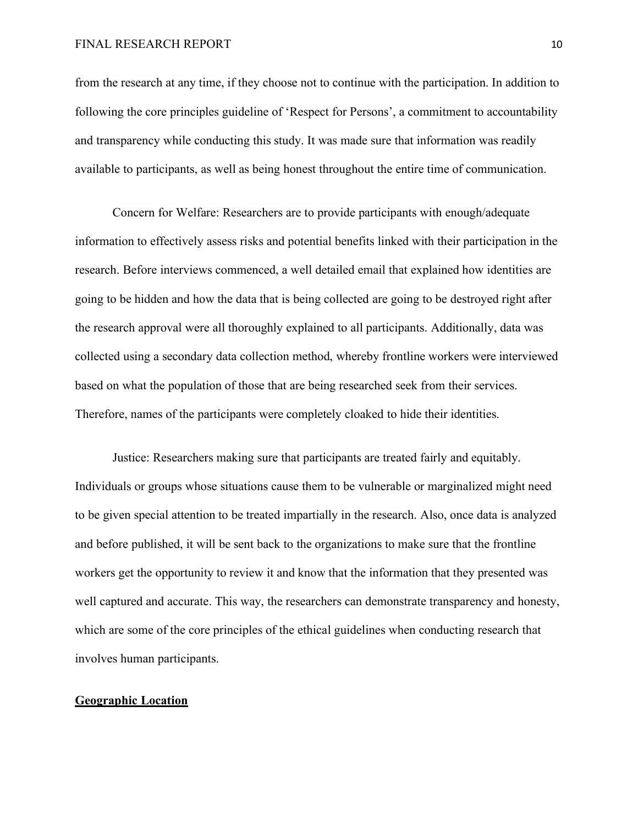#### FINAL RESEARCH REPORT 10

from the research at any time, if they choose not to continue with the participation. In addition to following the core principles guideline of 'Respect for Persons', a commitment to accountability and transparency while conducting this study. It was made sure that information was readily available to participants, as well as being honest throughout the entire time of communication.

Concern for Welfare: Researchers are to provide participants with enough/adequate information to effectively assess risks and potential benefits linked with their participation in the research. Before interviews commenced, a well detailed email that explained how identities are going to be hidden and how the data that is being collected are going to be destroyed right after the research approval were all thoroughly explained to all participants. Additionally, data was collected using a secondary data collection method, whereby frontline workers were interviewed based on what the population of those that are being researched seek from their services. Therefore, names of the participants were completely cloaked to hide their identities.

Justice: Researchers making sure that participants are treated fairly and equitably. Individuals or groups whose situations cause them to be vulnerable or marginalized might need to be given special attention to be treated impartially in the research. Also, once data is analyzed and before published, it will be sent back to the organizations to make sure that the frontline workers get the opportunity to review it and know that the information that they presented was well captured and accurate. This way, the researchers can demonstrate transparency and honesty, which are some of the core principles of the ethical guidelines when conducting research that involves human participants.

## **Geographic Location**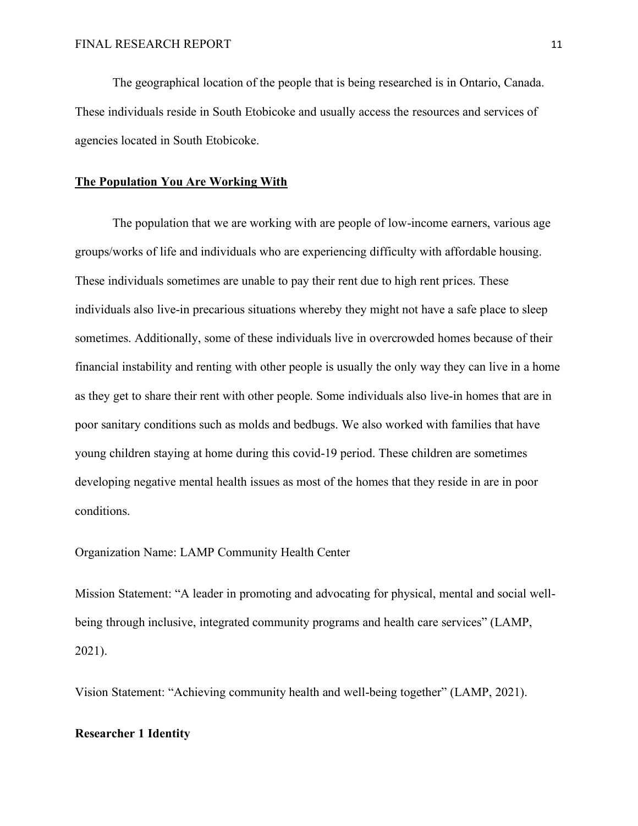The geographical location of the people that is being researched is in Ontario, Canada. These individuals reside in South Etobicoke and usually access the resources and services of agencies located in South Etobicoke.

#### **The Population You Are Working With**

The population that we are working with are people of low-income earners, various age groups/works of life and individuals who are experiencing difficulty with affordable housing. These individuals sometimes are unable to pay their rent due to high rent prices. These individuals also live-in precarious situations whereby they might not have a safe place to sleep sometimes. Additionally, some of these individuals live in overcrowded homes because of their financial instability and renting with other people is usually the only way they can live in a home as they get to share their rent with other people. Some individuals also live-in homes that are in poor sanitary conditions such as molds and bedbugs. We also worked with families that have young children staying at home during this covid-19 period. These children are sometimes developing negative mental health issues as most of the homes that they reside in are in poor conditions.

Organization Name: LAMP Community Health Center

Mission Statement: "A leader in promoting and advocating for physical, mental and social wellbeing through inclusive, integrated community programs and health care services" (LAMP, 2021).

Vision Statement: "Achieving community health and well-being together" (LAMP, 2021).

## **Researcher 1 Identity**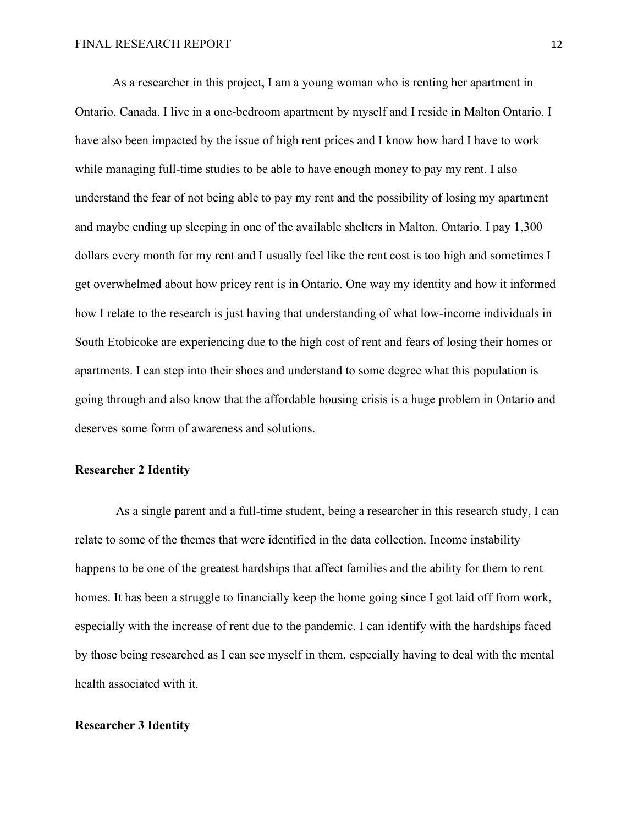As a researcher in this project, I am a young woman who is renting her apartment in Ontario, Canada. I live in a one-bedroom apartment by myself and I reside in Malton Ontario. I have also been impacted by the issue of high rent prices and I know how hard I have to work while managing full-time studies to be able to have enough money to pay my rent. I also understand the fear of not being able to pay my rent and the possibility of losing my apartment and maybe ending up sleeping in one of the available shelters in Malton, Ontario. I pay 1,300 dollars every month for my rent and I usually feel like the rent cost is too high and sometimes I get overwhelmed about how pricey rent is in Ontario. One way my identity and how it informed how I relate to the research is just having that understanding of what low-income individuals in South Etobicoke are experiencing due to the high cost of rent and fears of losing their homes or apartments. I can step into their shoes and understand to some degree what this population is going through and also know that the affordable housing crisis is a huge problem in Ontario and deserves some form of awareness and solutions.

## **Researcher 2 Identity**

As a single parent and a full-time student, being a researcher in this research study, I can relate to some of the themes that were identified in the data collection. Income instability happens to be one of the greatest hardships that affect families and the ability for them to rent homes. It has been a struggle to financially keep the home going since I got laid off from work, especially with the increase of rent due to the pandemic. I can identify with the hardships faced by those being researched as I can see myself in them, especially having to deal with the mental health associated with it.

## **Researcher 3 Identity**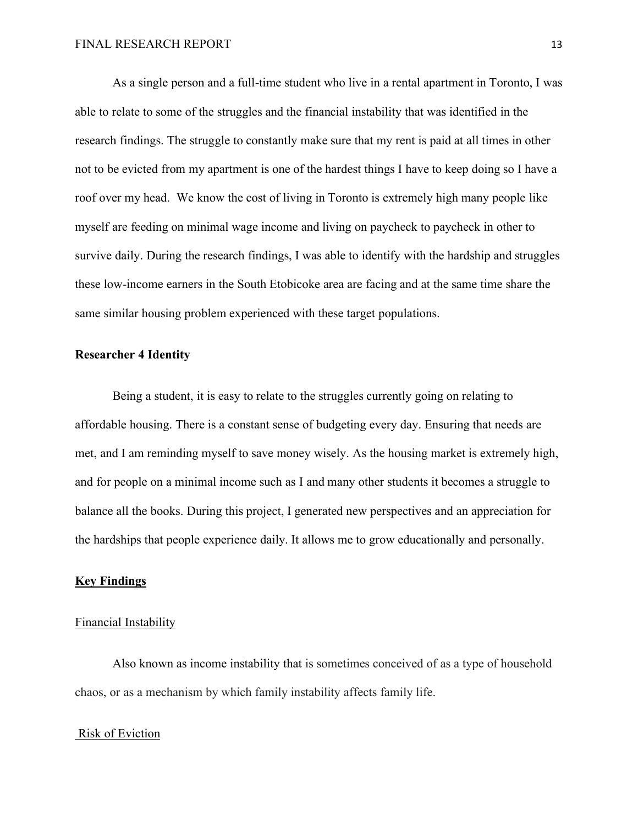As a single person and a full-time student who live in a rental apartment in Toronto, I was able to relate to some of the struggles and the financial instability that was identified in the research findings. The struggle to constantly make sure that my rent is paid at all times in other not to be evicted from my apartment is one of the hardest things I have to keep doing so I have a roof over my head. We know the cost of living in Toronto is extremely high many people like myself are feeding on minimal wage income and living on paycheck to paycheck in other to survive daily. During the research findings, I was able to identify with the hardship and struggles these low-income earners in the South Etobicoke area are facing and at the same time share the same similar housing problem experienced with these target populations.

#### **Researcher 4 Identity**

Being a student, it is easy to relate to the struggles currently going on relating to affordable housing. There is a constant sense of budgeting every day. Ensuring that needs are met, and I am reminding myself to save money wisely. As the housing market is extremely high, and for people on a minimal income such as I and many other students it becomes a struggle to balance all the books. During this project, I generated new perspectives and an appreciation for the hardships that people experience daily. It allows me to grow educationally and personally.

## **Key Findings**

## Financial Instability

Also known as income instability that is sometimes conceived of as a type of household chaos, or as a mechanism by which family instability affects family life.

## Risk of Eviction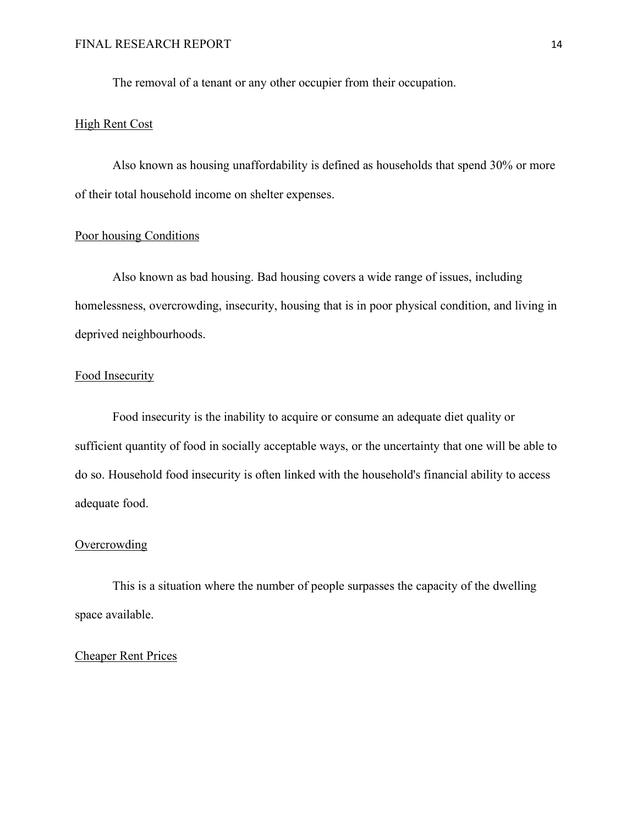The removal of a tenant or any other occupier from their occupation.

## High Rent Cost

Also known as housing unaffordability is defined as households that spend 30% or more of their total household income on shelter expenses.

## Poor housing Conditions

Also known as bad housing. Bad housing covers a wide range of issues, including homelessness, overcrowding, insecurity, housing that is in poor physical condition, and living in deprived neighbourhoods.

## Food Insecurity

Food insecurity is the inability to acquire or consume an adequate diet quality or sufficient quantity of food in socially acceptable ways, or the uncertainty that one will be able to do so. Household food insecurity is often linked with the household's financial ability to access adequate food.

## **Overcrowding**

This is a situation where the number of people surpasses the capacity of the dwelling space available.

# Cheaper Rent Prices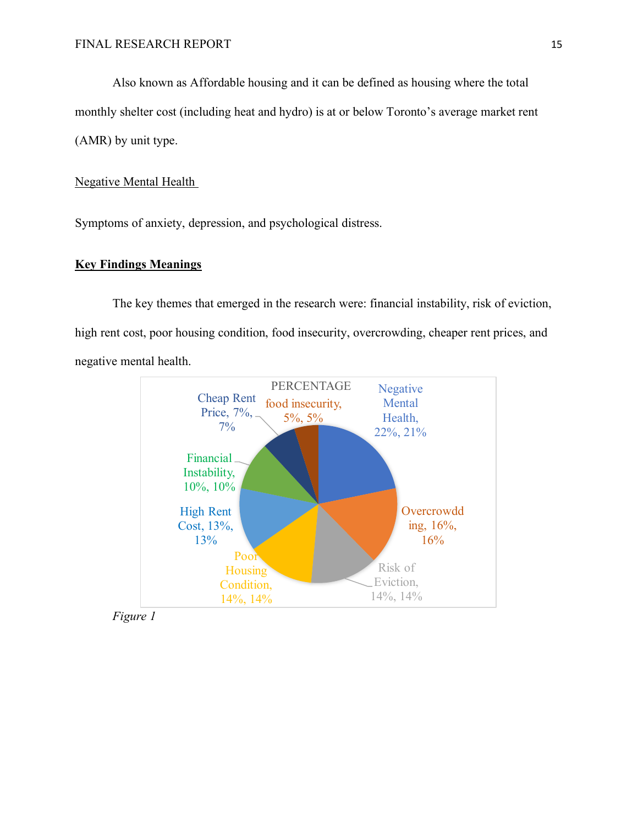Also known as Affordable housing and it can be defined as housing where the total monthly shelter cost (including heat and hydro) is at or below Toronto's average market rent (AMR) by unit type.

## Negative Mental Health

Symptoms of anxiety, depression, and psychological distress.

# **Key Findings Meanings**

The key themes that emerged in the research were: financial instability, risk of eviction, high rent cost, poor housing condition, food insecurity, overcrowding, cheaper rent prices, and negative mental health.



*Figure 1*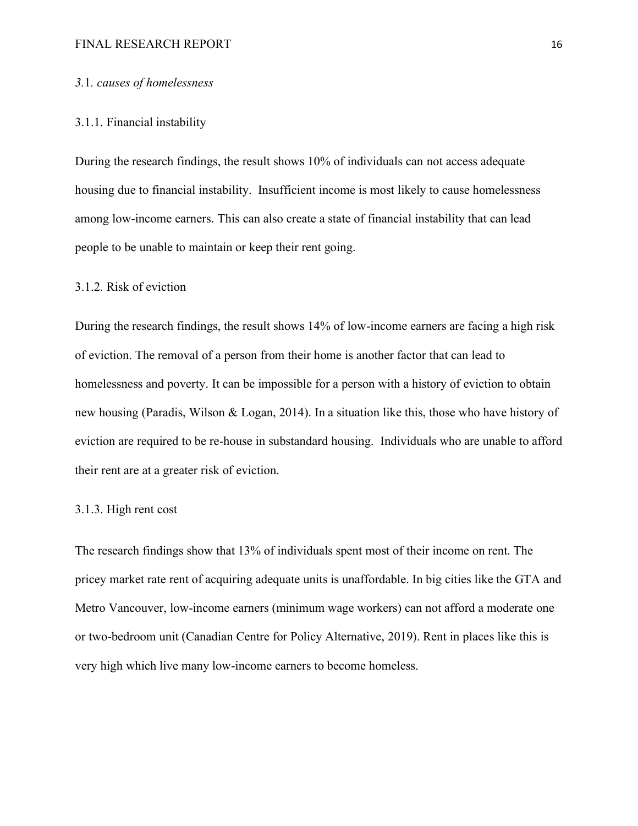#### FINAL RESEARCH REPORT 16

## *3.*1*. causes of homelessness*

## 3.1.1. Financial instability

During the research findings, the result shows 10% of individuals can not access adequate housing due to financial instability. Insufficient income is most likely to cause homelessness among low-income earners. This can also create a state of financial instability that can lead people to be unable to maintain or keep their rent going.

## 3.1.2. Risk of eviction

During the research findings, the result shows 14% of low-income earners are facing a high risk of eviction. The removal of a person from their home is another factor that can lead to homelessness and poverty. It can be impossible for a person with a history of eviction to obtain new housing (Paradis, Wilson & Logan, 2014). In a situation like this, those who have history of eviction are required to be re-house in substandard housing. Individuals who are unable to afford their rent are at a greater risk of eviction.

#### 3.1.3. High rent cost

The research findings show that 13% of individuals spent most of their income on rent. The pricey market rate rent of acquiring adequate units is unaffordable. In big cities like the GTA and Metro Vancouver, low-income earners (minimum wage workers) can not afford a moderate one or two-bedroom unit (Canadian Centre for Policy Alternative, 2019). Rent in places like this is very high which live many low-income earners to become homeless.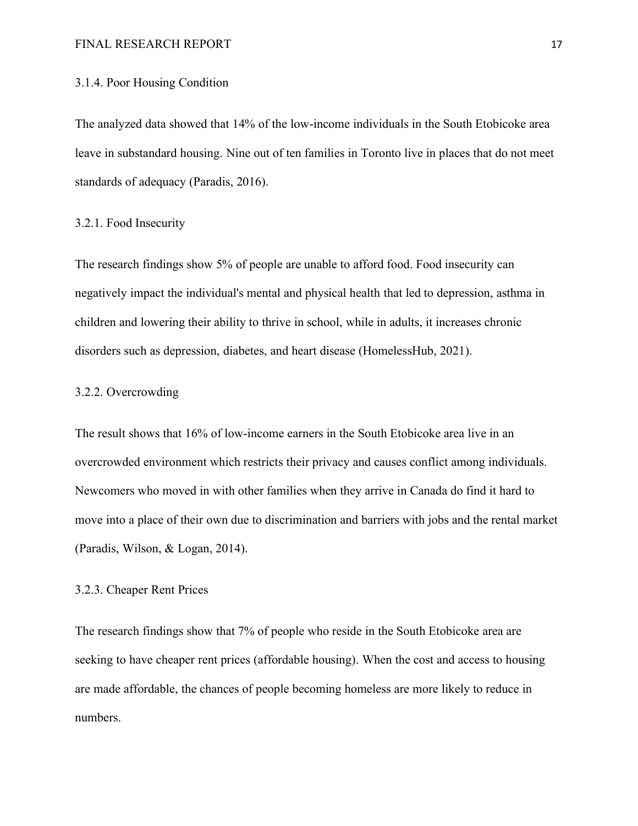#### FINAL RESEARCH REPORT 17

## 3.1.4. Poor Housing Condition

The analyzed data showed that 14% of the low-income individuals in the South Etobicoke area leave in substandard housing. Nine out of ten families in Toronto live in places that do not meet standards of adequacy (Paradis, 2016).

## 3.2.1. Food Insecurity

The research findings show 5% of people are unable to afford food. Food insecurity can negatively impact the individual's mental and physical health that led to depression, asthma in children and lowering their ability to thrive in school, while in adults, it increases chronic disorders such as depression, diabetes, and heart disease (HomelessHub, 2021).

## 3.2.2. Overcrowding

The result shows that 16% of low-income earners in the South Etobicoke area live in an overcrowded environment which restricts their privacy and causes conflict among individuals. Newcomers who moved in with other families when they arrive in Canada do find it hard to move into a place of their own due to discrimination and barriers with jobs and the rental market (Paradis, Wilson, & Logan, 2014).

## 3.2.3. Cheaper Rent Prices

The research findings show that 7% of people who reside in the South Etobicoke area are seeking to have cheaper rent prices (affordable housing). When the cost and access to housing are made affordable, the chances of people becoming homeless are more likely to reduce in numbers.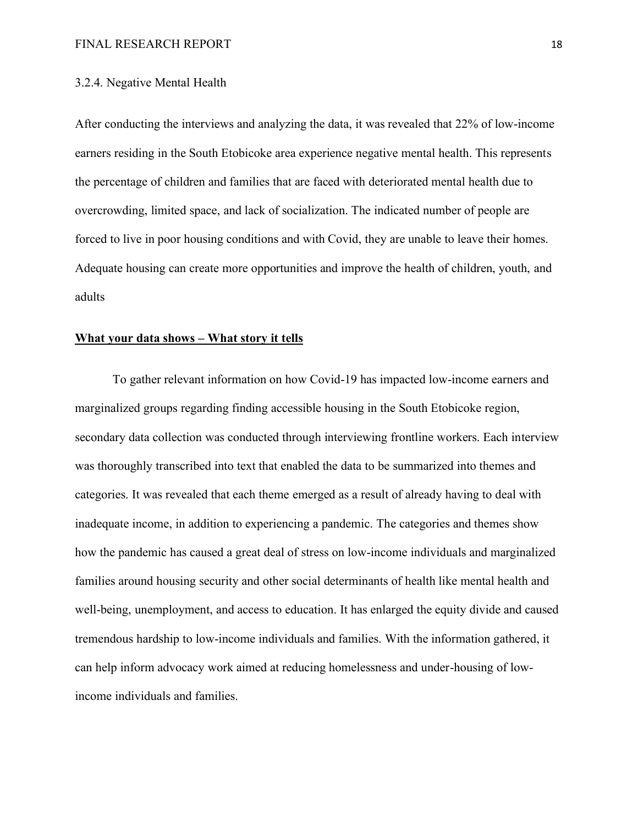## 3.2.4. Negative Mental Health

After conducting the interviews and analyzing the data, it was revealed that 22% of low-income earners residing in the South Etobicoke area experience negative mental health. This represents the percentage of children and families that are faced with deteriorated mental health due to overcrowding, limited space, and lack of socialization. The indicated number of people are forced to live in poor housing conditions and with Covid, they are unable to leave their homes. Adequate housing can create more opportunities and improve the health of children, youth, and adults

## **What your data shows – What story it tells**

To gather relevant information on how Covid-19 has impacted low-income earners and marginalized groups regarding finding accessible housing in the South Etobicoke region, secondary data collection was conducted through interviewing frontline workers. Each interview was thoroughly transcribed into text that enabled the data to be summarized into themes and categories. It was revealed that each theme emerged as a result of already having to deal with inadequate income, in addition to experiencing a pandemic. The categories and themes show how the pandemic has caused a great deal of stress on low-income individuals and marginalized families around housing security and other social determinants of health like mental health and well-being, unemployment, and access to education. It has enlarged the equity divide and caused tremendous hardship to low-income individuals and families. With the information gathered, it can help inform advocacy work aimed at reducing homelessness and under-housing of lowincome individuals and families.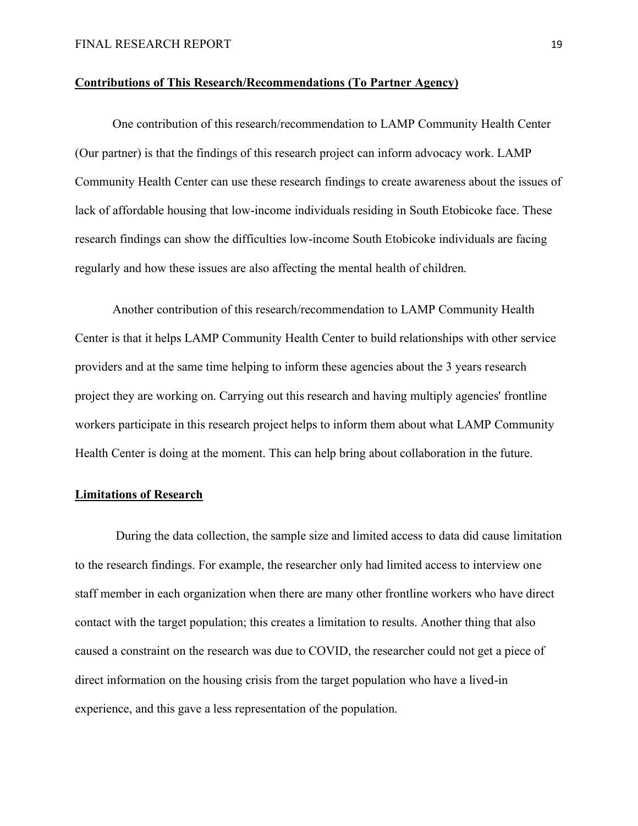## **Contributions of This Research/Recommendations (To Partner Agency)**

One contribution of this research/recommendation to LAMP Community Health Center (Our partner) is that the findings of this research project can inform advocacy work. LAMP Community Health Center can use these research findings to create awareness about the issues of lack of affordable housing that low-income individuals residing in South Etobicoke face. These research findings can show the difficulties low-income South Etobicoke individuals are facing regularly and how these issues are also affecting the mental health of children.

Another contribution of this research/recommendation to LAMP Community Health Center is that it helps LAMP Community Health Center to build relationships with other service providers and at the same time helping to inform these agencies about the 3 years research project they are working on. Carrying out this research and having multiply agencies' frontline workers participate in this research project helps to inform them about what LAMP Community Health Center is doing at the moment. This can help bring about collaboration in the future.

## **Limitations of Research**

 During the data collection, the sample size and limited access to data did cause limitation to the research findings. For example, the researcher only had limited access to interview one staff member in each organization when there are many other frontline workers who have direct contact with the target population; this creates a limitation to results. Another thing that also caused a constraint on the research was due to COVID, the researcher could not get a piece of direct information on the housing crisis from the target population who have a lived-in experience, and this gave a less representation of the population.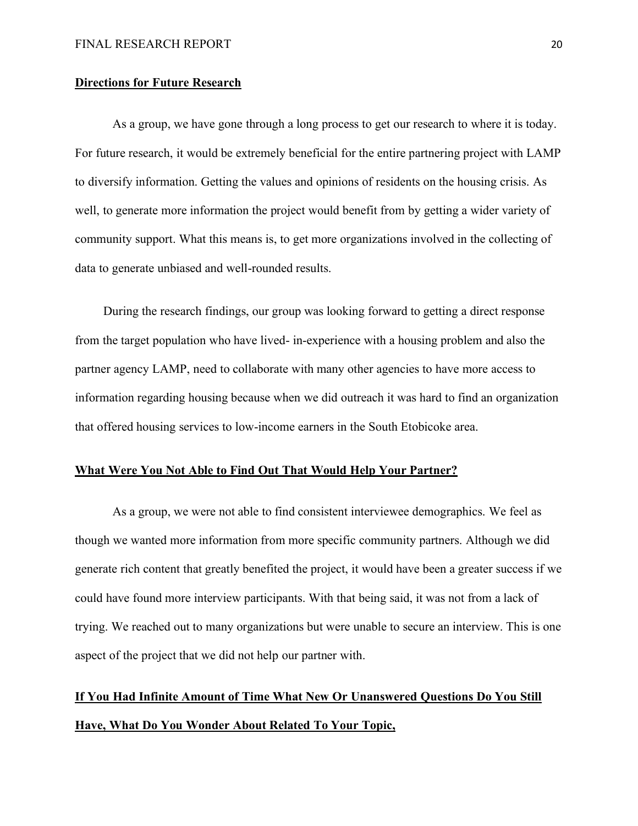## **Directions for Future Research**

As a group, we have gone through a long process to get our research to where it is today. For future research, it would be extremely beneficial for the entire partnering project with LAMP to diversify information. Getting the values and opinions of residents on the housing crisis. As well, to generate more information the project would benefit from by getting a wider variety of community support. What this means is, to get more organizations involved in the collecting of data to generate unbiased and well-rounded results.

 During the research findings, our group was looking forward to getting a direct response from the target population who have lived- in-experience with a housing problem and also the partner agency LAMP, need to collaborate with many other agencies to have more access to information regarding housing because when we did outreach it was hard to find an organization that offered housing services to low-income earners in the South Etobicoke area.

## **What Were You Not Able to Find Out That Would Help Your Partner?**

As a group, we were not able to find consistent interviewee demographics. We feel as though we wanted more information from more specific community partners. Although we did generate rich content that greatly benefited the project, it would have been a greater success if we could have found more interview participants. With that being said, it was not from a lack of trying. We reached out to many organizations but were unable to secure an interview. This is one aspect of the project that we did not help our partner with.

# **If You Had Infinite Amount of Time What New Or Unanswered Questions Do You Still Have, What Do You Wonder About Related To Your Topic,**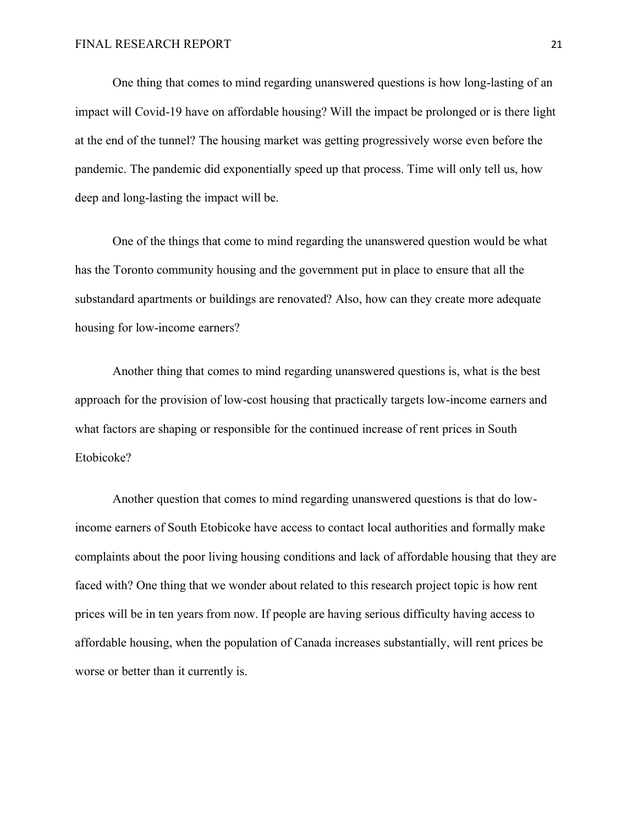One thing that comes to mind regarding unanswered questions is how long-lasting of an impact will Covid-19 have on affordable housing? Will the impact be prolonged or is there light at the end of the tunnel? The housing market was getting progressively worse even before the pandemic. The pandemic did exponentially speed up that process. Time will only tell us, how deep and long-lasting the impact will be.

One of the things that come to mind regarding the unanswered question would be what has the Toronto community housing and the government put in place to ensure that all the substandard apartments or buildings are renovated? Also, how can they create more adequate housing for low-income earners?

Another thing that comes to mind regarding unanswered questions is, what is the best approach for the provision of low-cost housing that practically targets low-income earners and what factors are shaping or responsible for the continued increase of rent prices in South Etobicoke?

Another question that comes to mind regarding unanswered questions is that do lowincome earners of South Etobicoke have access to contact local authorities and formally make complaints about the poor living housing conditions and lack of affordable housing that they are faced with? One thing that we wonder about related to this research project topic is how rent prices will be in ten years from now. If people are having serious difficulty having access to affordable housing, when the population of Canada increases substantially, will rent prices be worse or better than it currently is.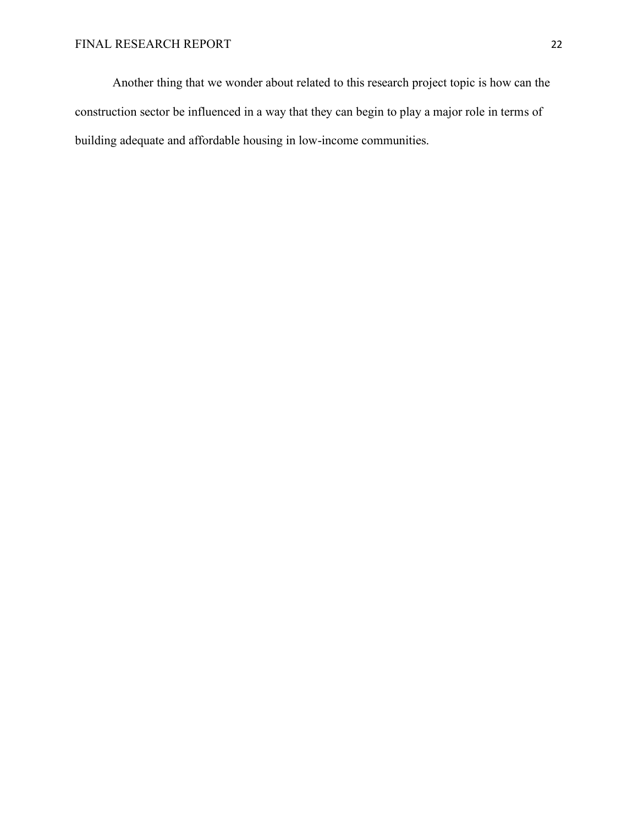Another thing that we wonder about related to this research project topic is how can the construction sector be influenced in a way that they can begin to play a major role in terms of building adequate and affordable housing in low-income communities.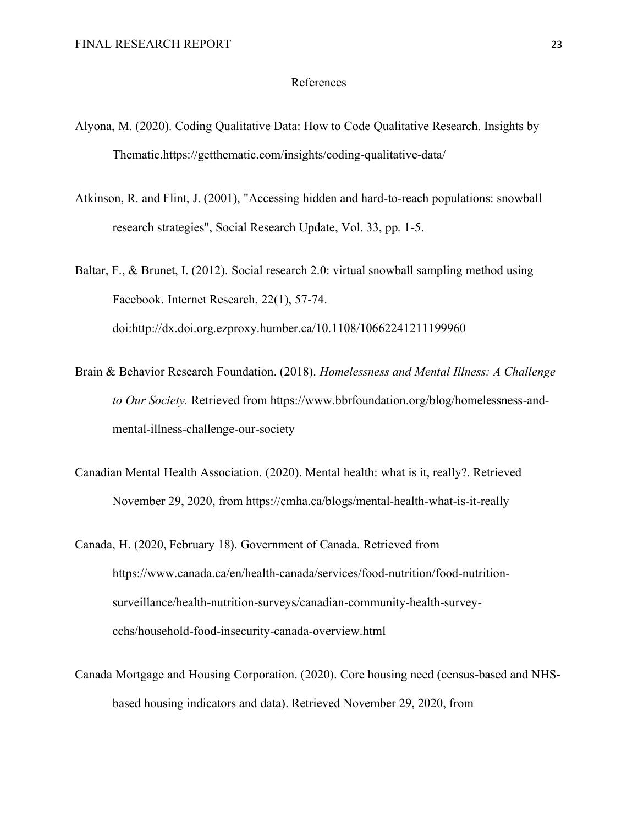#### References

- Alyona, M. (2020). Coding Qualitative Data: How to Code Qualitative Research. Insights by Thematic.https://getthematic.com/insights/coding-qualitative-data/
- Atkinson, R. and Flint, J. (2001), "Accessing hidden and hard-to-reach populations: snowball research strategies", Social Research Update, Vol. 33, pp. 1-5.
- Baltar, F., & Brunet, I. (2012). Social research 2.0: virtual snowball sampling method using Facebook. Internet Research, 22(1), 57-74. doi:http://dx.doi.org.ezproxy.humber.ca/10.1108/10662241211199960
- Brain & Behavior Research Foundation. (2018). *Homelessness and Mental Illness: A Challenge to Our Society.* Retrieved from https://www.bbrfoundation.org/blog/homelessness-andmental-illness-challenge-our-society
- Canadian Mental Health Association. (2020). Mental health: what is it, really?. Retrieved November 29, 2020, from https://cmha.ca/blogs/mental-health-what-is-it-really
- Canada, H. (2020, February 18). Government of Canada. Retrieved from https://www.canada.ca/en/health-canada/services/food-nutrition/food-nutritionsurveillance/health-nutrition-surveys/canadian-community-health-surveycchs/household-food-insecurity-canada-overview.html
- Canada Mortgage and Housing Corporation. (2020). Core housing need (census-based and NHSbased housing indicators and data). Retrieved November 29, 2020, from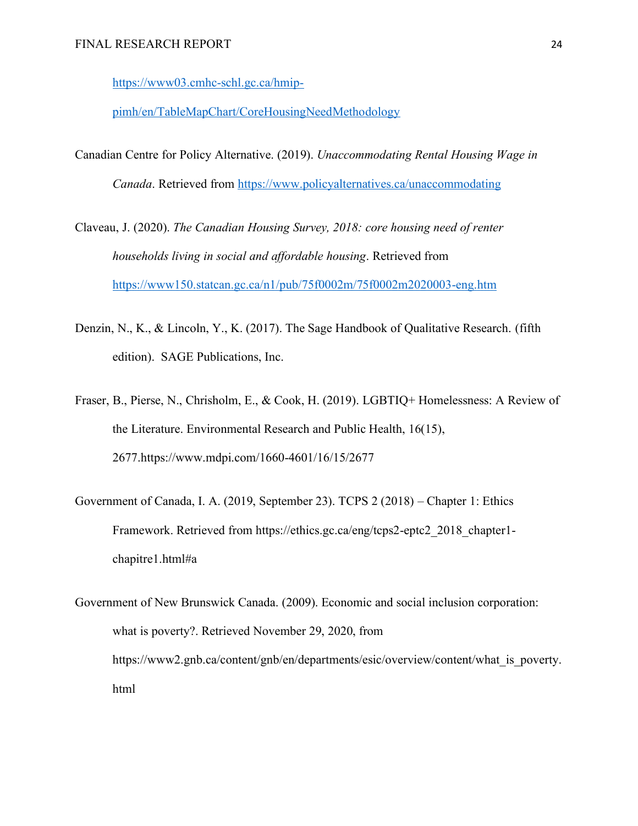[https://www03.cmhc-schl.gc.ca/hmip-](https://www03.cmhc-schl.gc.ca/hmip-pimh/en/TableMapChart/CoreHousingNeedMethodology)

[pimh/en/TableMapChart/CoreHousingNeedMethodology](https://www03.cmhc-schl.gc.ca/hmip-pimh/en/TableMapChart/CoreHousingNeedMethodology)

- Canadian Centre for Policy Alternative. (2019). *Unaccommodating Rental Housing Wage in Canada*. Retrieved from<https://www.policyalternatives.ca/unaccommodating>
- Claveau, J. (2020). *The Canadian Housing Survey, 2018: core housing need of renter households living in social and affordable housing*. Retrieved from <https://www150.statcan.gc.ca/n1/pub/75f0002m/75f0002m2020003-eng.htm>
- Denzin, N., K., & Lincoln, Y., K. (2017). The Sage Handbook of Qualitative Research. (fifth edition). SAGE Publications, Inc.
- Fraser, B., Pierse, N., Chrisholm, E., & Cook, H. (2019). LGBTIQ+ Homelessness: A Review of the Literature. Environmental Research and Public Health, 16(15), 2677.https://www.mdpi.com/1660-4601/16/15/2677
- Government of Canada, I. A. (2019, September 23). TCPS 2 (2018) Chapter 1: Ethics Framework. Retrieved from https://ethics.gc.ca/eng/tcps2-eptc2\_2018\_chapter1chapitre1.html#a
- Government of New Brunswick Canada. (2009). Economic and social inclusion corporation: what is poverty?. Retrieved November 29, 2020, from https://www2.gnb.ca/content/gnb/en/departments/esic/overview/content/what is poverty. html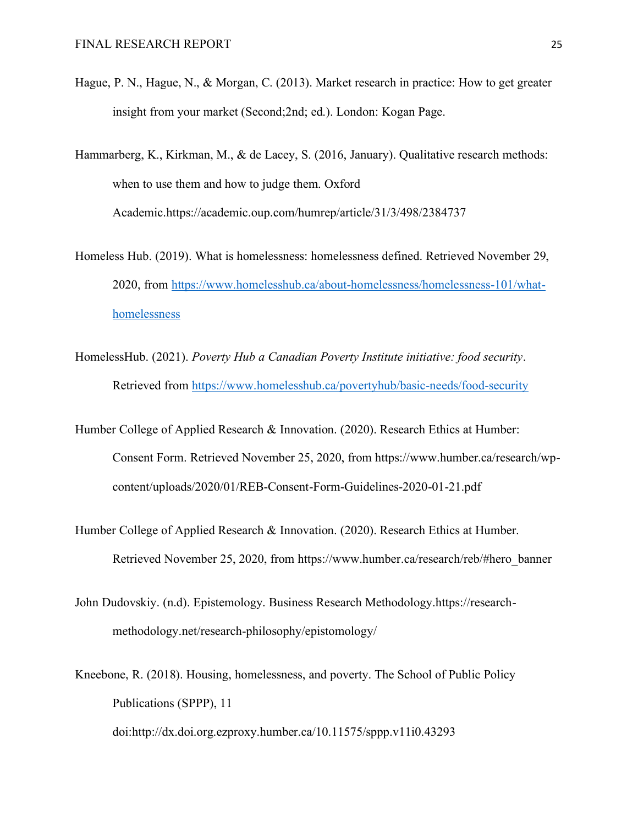- Hague, P. N., Hague, N., & Morgan, C. (2013). Market research in practice: How to get greater insight from your market (Second;2nd; ed.). London: Kogan Page.
- Hammarberg, K., Kirkman, M., & de Lacey, S. (2016, January). Qualitative research methods: when to use them and how to judge them. Oxford Academic.https://academic.oup.com/humrep/article/31/3/498/2384737
- Homeless Hub. (2019). What is homelessness: homelessness defined. Retrieved November 29, 2020, from [https://www.homelesshub.ca/about-homelessness/homelessness-101/what](https://www.homelesshub.ca/about-homelessness/homelessness-101/what-homelessness)[homelessness](https://www.homelesshub.ca/about-homelessness/homelessness-101/what-homelessness)
- HomelessHub. (2021). *Poverty Hub a Canadian Poverty Institute initiative: food security*. Retrieved from<https://www.homelesshub.ca/povertyhub/basic-needs/food-security>
- Humber College of Applied Research & Innovation. (2020). Research Ethics at Humber: Consent Form. Retrieved November 25, 2020, from https://www.humber.ca/research/wpcontent/uploads/2020/01/REB-Consent-Form-Guidelines-2020-01-21.pdf
- Humber College of Applied Research & Innovation. (2020). Research Ethics at Humber. Retrieved November 25, 2020, from https://www.humber.ca/research/reb/#hero\_banner
- John Dudovskiy. (n.d). Epistemology. Business Research Methodology.https://researchmethodology.net/research-philosophy/epistomology/
- Kneebone, R. (2018). Housing, homelessness, and poverty. The School of Public Policy Publications (SPPP), 11

doi:http://dx.doi.org.ezproxy.humber.ca/10.11575/sppp.v11i0.43293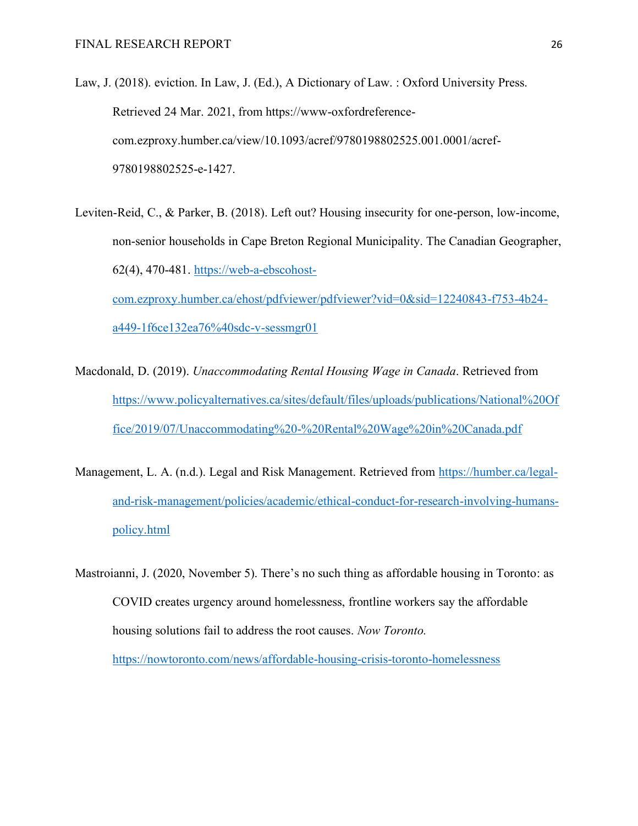- Law, J. (2018). eviction. In Law, J. (Ed.), A Dictionary of Law. : Oxford University Press. Retrieved 24 Mar. 2021, from https://www-oxfordreferencecom.ezproxy.humber.ca/view/10.1093/acref/9780198802525.001.0001/acref-9780198802525-e-1427.
- Leviten-Reid, C., & Parker, B. (2018). Left out? Housing insecurity for one-person, low-income, non-senior households in Cape Breton Regional Municipality. The Canadian Geographer, 62(4), 470-481. [https://web-a-ebscohost](https://web-a-ebscohost-com.ezproxy.humber.ca/ehost/pdfviewer/pdfviewer?vid=0&sid=12240843-f753-4b24-a449-1f6ce132ea76%40sdc-v-sessmgr01)[com.ezproxy.humber.ca/ehost/pdfviewer/pdfviewer?vid=0&sid=12240843-f753-4b24](https://web-a-ebscohost-com.ezproxy.humber.ca/ehost/pdfviewer/pdfviewer?vid=0&sid=12240843-f753-4b24-a449-1f6ce132ea76%40sdc-v-sessmgr01) [a449-1f6ce132ea76%40sdc-v-sessmgr01](https://web-a-ebscohost-com.ezproxy.humber.ca/ehost/pdfviewer/pdfviewer?vid=0&sid=12240843-f753-4b24-a449-1f6ce132ea76%40sdc-v-sessmgr01)
- Macdonald, D. (2019). *Unaccommodating Rental Housing Wage in Canada*. Retrieved from [https://www.policyalternatives.ca/sites/default/files/uploads/publications/National%20Of](https://www.policyalternatives.ca/sites/default/files/uploads/publications/National%20Office/2019/07/Unaccommodating%20-%20Rental%20Wage%20in%20Canada.pdf) [fice/2019/07/Unaccommodating%20-%20Rental%20Wage%20in%20Canada.pdf](https://www.policyalternatives.ca/sites/default/files/uploads/publications/National%20Office/2019/07/Unaccommodating%20-%20Rental%20Wage%20in%20Canada.pdf)
- Management, L. A. (n.d.). Legal and Risk Management. Retrieved from [https://humber.ca/legal](https://humber.ca/legal-and-risk-management/policies/academic/ethical-conduct-for-research-involving-humans-policy.html)[and-risk-management/policies/academic/ethical-conduct-for-research-involving-humans](https://humber.ca/legal-and-risk-management/policies/academic/ethical-conduct-for-research-involving-humans-policy.html)[policy.html](https://humber.ca/legal-and-risk-management/policies/academic/ethical-conduct-for-research-involving-humans-policy.html)
- Mastroianni, J. (2020, November 5). There's no such thing as affordable housing in Toronto: as COVID creates urgency around homelessness, frontline workers say the affordable housing solutions fail to address the root causes. *Now Toronto.*

<https://nowtoronto.com/news/affordable-housing-crisis-toronto-homelessness>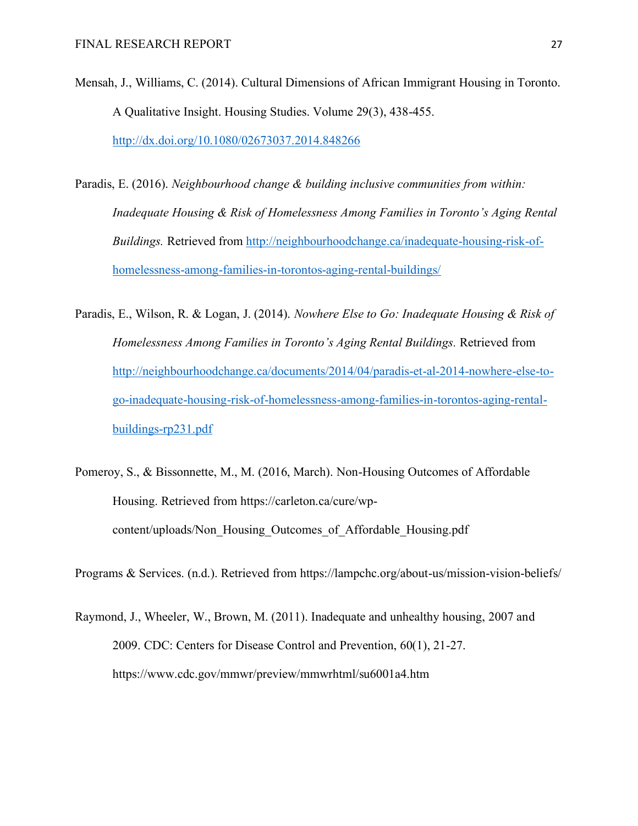- Mensah, J., Williams, C. (2014). Cultural Dimensions of African Immigrant Housing in Toronto. A Qualitative Insight. Housing Studies. Volume 29(3), 438-455. <http://dx.doi.org/10.1080/02673037.2014.848266>
- Paradis, E. (2016). *Neighbourhood change & building inclusive communities from within: Inadequate Housing & Risk of Homelessness Among Families in Toronto's Aging Rental Buildings.* Retrieved from [http://neighbourhoodchange.ca/inadequate-housing-risk-of](http://neighbourhoodchange.ca/inadequate-housing-risk-of-homelessness-among-families-in-torontos-aging-rental-buildings/)[homelessness-among-families-in-torontos-aging-rental-buildings/](http://neighbourhoodchange.ca/inadequate-housing-risk-of-homelessness-among-families-in-torontos-aging-rental-buildings/)
- Paradis, E., Wilson, R. & Logan, J. (2014). *Nowhere Else to Go: Inadequate Housing & Risk of Homelessness Among Families in Toronto's Aging Rental Buildings.* Retrieved from [http://neighbourhoodchange.ca/documents/2014/04/paradis-et-al-2014-nowhere-else-to](http://neighbourhoodchange.ca/documents/2014/04/paradis-et-al-2014-nowhere-else-to-go-inadequate-housing-risk-of-homelessness-among-families-in-torontos-aging-rental-buildings-rp231.pdf)[go-inadequate-housing-risk-of-homelessness-among-families-in-torontos-aging-rental](http://neighbourhoodchange.ca/documents/2014/04/paradis-et-al-2014-nowhere-else-to-go-inadequate-housing-risk-of-homelessness-among-families-in-torontos-aging-rental-buildings-rp231.pdf)[buildings-rp231.pdf](http://neighbourhoodchange.ca/documents/2014/04/paradis-et-al-2014-nowhere-else-to-go-inadequate-housing-risk-of-homelessness-among-families-in-torontos-aging-rental-buildings-rp231.pdf)
- Pomeroy, S., & Bissonnette, M., M. (2016, March). Non-Housing Outcomes of Affordable Housing. Retrieved from https://carleton.ca/cure/wpcontent/uploads/Non\_Housing\_Outcomes\_of\_Affordable\_Housing.pdf
- Programs & Services. (n.d.). Retrieved from https://lampchc.org/about-us/mission-vision-beliefs/
- Raymond, J., Wheeler, W., Brown, M. (2011). Inadequate and unhealthy housing, 2007 and 2009. CDC: Centers for Disease Control and Prevention, 60(1), 21-27. https://www.cdc.gov/mmwr/preview/mmwrhtml/su6001a4.htm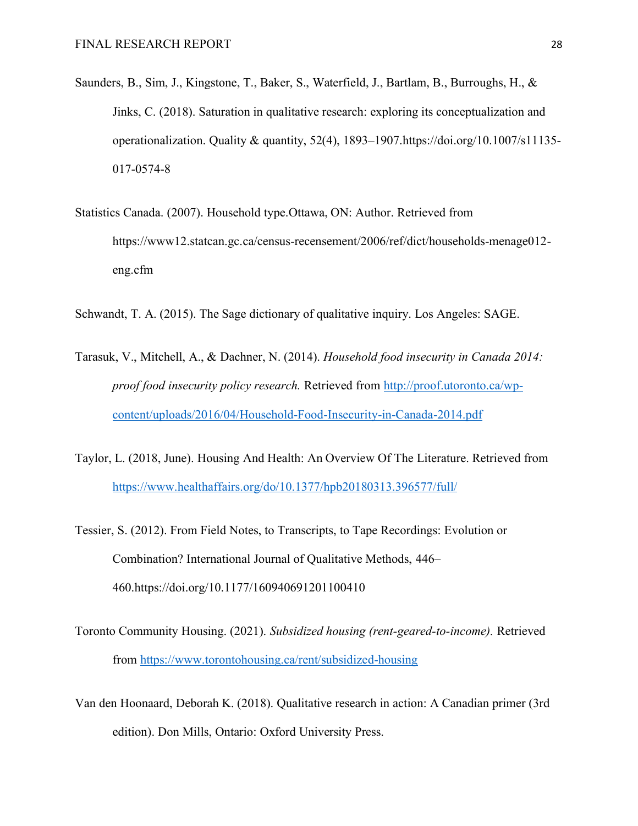- Saunders, B., Sim, J., Kingstone, T., Baker, S., Waterfield, J., Bartlam, B., Burroughs, H., & Jinks, C. (2018). Saturation in qualitative research: exploring its conceptualization and operationalization. Quality & quantity,  $52(4)$ ,  $1893-1907$ .https://doi.org/10.1007/s11135-017-0574-8
- Statistics Canada. (2007). Household type.Ottawa, ON: Author. Retrieved from https://www12.statcan.gc.ca/census-recensement/2006/ref/dict/households-menage012 eng.cfm
- Schwandt, T. A. (2015). The Sage dictionary of qualitative inquiry. Los Angeles: SAGE.
- Tarasuk, V., Mitchell, A., & Dachner, N. (2014). *Household food insecurity in Canada 2014: proof food insecurity policy research.* Retrieved from [http://proof.utoronto.ca/wp](http://proof.utoronto.ca/wp-content/uploads/2016/04/Household-Food-Insecurity-in-Canada-2014.pdf)[content/uploads/2016/04/Household-Food-Insecurity-in-Canada-2014.pdf](http://proof.utoronto.ca/wp-content/uploads/2016/04/Household-Food-Insecurity-in-Canada-2014.pdf)
- Taylor, L. (2018, June). Housing And Health: An Overview Of The Literature. Retrieved from <https://www.healthaffairs.org/do/10.1377/hpb20180313.396577/full/>
- Tessier, S. (2012). From Field Notes, to Transcripts, to Tape Recordings: Evolution or Combination? International Journal of Qualitative Methods, 446– 460.https://doi.org/10.1177/160940691201100410
- Toronto Community Housing. (2021). *Subsidized housing (rent-geared-to-income).* Retrieved from<https://www.torontohousing.ca/rent/subsidized-housing>
- Van den Hoonaard, Deborah K. (2018). Qualitative research in action: A Canadian primer (3rd edition). Don Mills, Ontario: Oxford University Press.